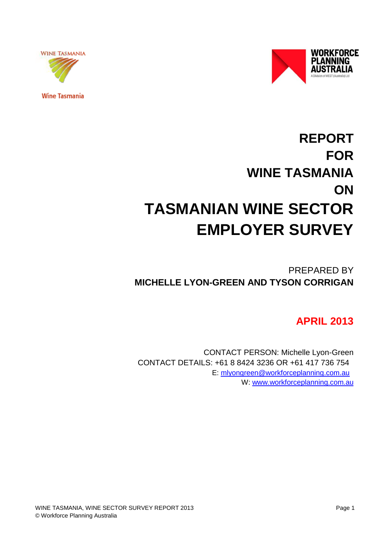



**Wine Tasmania** 

# **REPORT FOR WINE TASMANIA ON TASMANIAN WINE SECTOR EMPLOYER SURVEY**

PREPARED BY **MICHELLE LYON-GREEN AND TYSON CORRIGAN**

# **APRIL 2013**

CONTACT PERSON: Michelle Lyon-Green CONTACT DETAILS: +61 8 8424 3236 OR +61 417 736 754 E: [mlyongreen@workforceplanning.com.au](mailto:mlyongreen@workforceplanning.com.au)  W: [www.workforceplanning.com.au](http://www.workforceplanning.com.au/)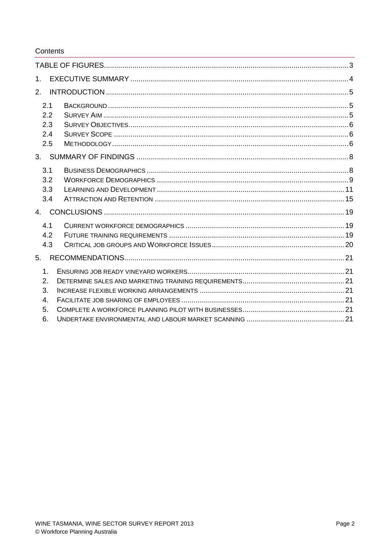#### Contents

| $1_{-}$        |               |  |
|----------------|---------------|--|
| 2.             |               |  |
|                | 2.1           |  |
|                | 2.2           |  |
|                | 2.3<br>2.4    |  |
|                | 2.5           |  |
| 3.             |               |  |
|                | 3.1           |  |
|                | 3.2           |  |
|                | 3.3           |  |
|                | 3.4           |  |
| 4 <sub>1</sub> |               |  |
|                | 4.1           |  |
|                | 4.2           |  |
|                | 4.3           |  |
| 5.             |               |  |
|                | $\mathbf 1$ . |  |
| 2.             |               |  |
| 3.             |               |  |
| 4.             |               |  |
| 5.             |               |  |
| 6.             |               |  |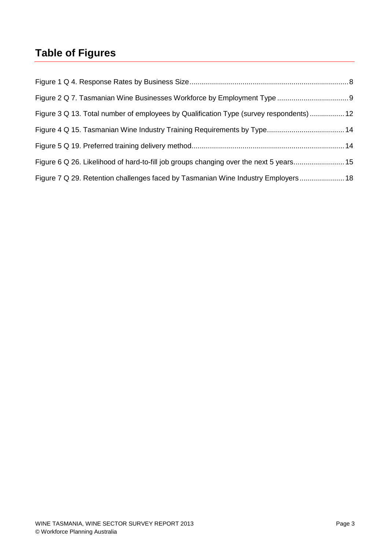# <span id="page-2-0"></span>**Table of Figures**

| Figure 3 Q 13. Total number of employees by Qualification Type (survey respondents)  12 |  |
|-----------------------------------------------------------------------------------------|--|
|                                                                                         |  |
|                                                                                         |  |
| Figure 6 Q 26. Likelihood of hard-to-fill job groups changing over the next 5 years 15  |  |
| Figure 7 Q 29. Retention challenges faced by Tasmanian Wine Industry Employers 18       |  |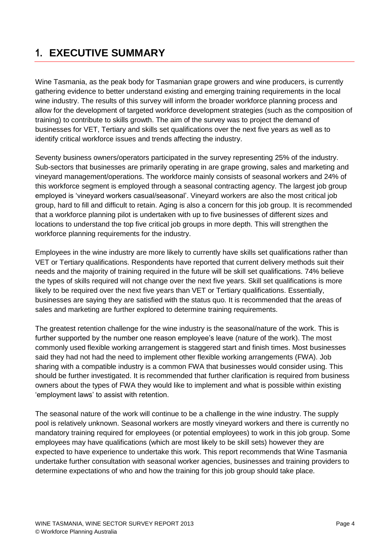# <span id="page-3-0"></span>**1. EXECUTIVE SUMMARY**

Wine Tasmania, as the peak body for Tasmanian grape growers and wine producers, is currently gathering evidence to better understand existing and emerging training requirements in the local wine industry. The results of this survey will inform the broader workforce planning process and allow for the development of targeted workforce development strategies (such as the composition of training) to contribute to skills growth. The aim of the survey was to project the demand of businesses for VET, Tertiary and skills set qualifications over the next five years as well as to identify critical workforce issues and trends affecting the industry.

Seventy business owners/operators participated in the survey representing 25% of the industry. Sub-sectors that businesses are primarily operating in are grape growing, sales and marketing and vineyard management/operations. The workforce mainly consists of seasonal workers and 24% of this workforce segment is employed through a seasonal contracting agency. The largest job group employed is 'vineyard workers casual/seasonal'. Vineyard workers are also the most critical job group, hard to fill and difficult to retain. Aging is also a concern for this job group. It is recommended that a workforce planning pilot is undertaken with up to five businesses of different sizes and locations to understand the top five critical job groups in more depth. This will strengthen the workforce planning requirements for the industry.

Employees in the wine industry are more likely to currently have skills set qualifications rather than VET or Tertiary qualifications. Respondents have reported that current delivery methods suit their needs and the majority of training required in the future will be skill set qualifications. 74% believe the types of skills required will not change over the next five years. Skill set qualifications is more likely to be required over the next five years than VET or Tertiary qualifications. Essentially, businesses are saying they are satisfied with the status quo. It is recommended that the areas of sales and marketing are further explored to determine training requirements.

The greatest retention challenge for the wine industry is the seasonal/nature of the work. This is further supported by the number one reason employee's leave (nature of the work). The most commonly used flexible working arrangement is staggered start and finish times. Most businesses said they had not had the need to implement other flexible working arrangements (FWA). Job sharing with a compatible industry is a common FWA that businesses would consider using. This should be further investigated. It is recommended that further clarification is required from business owners about the types of FWA they would like to implement and what is possible within existing 'employment laws' to assist with retention.

The seasonal nature of the work will continue to be a challenge in the wine industry. The supply pool is relatively unknown. Seasonal workers are mostly vineyard workers and there is currently no mandatory training required for employees (or potential employees) to work in this job group. Some employees may have qualifications (which are most likely to be skill sets) however they are expected to have experience to undertake this work. This report recommends that Wine Tasmania undertake further consultation with seasonal worker agencies, businesses and training providers to determine expectations of who and how the training for this job group should take place.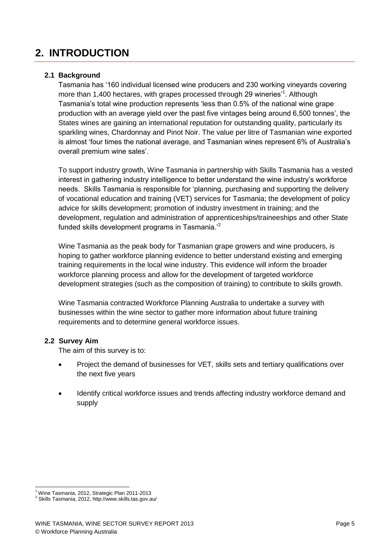# <span id="page-4-0"></span>**2. INTRODUCTION**

#### <span id="page-4-1"></span>**2.1 Background**

Tasmania has '160 individual licensed wine producers and 230 working vineyards covering more than 1,400 hectares, with grapes processed through 29 wineries'<sup>1</sup>. Although Tasmania's total wine production represents 'less than 0.5% of the national wine grape production with an average yield over the past five vintages being around 6,500 tonnes', the States wines are gaining an international reputation for outstanding quality, particularly its sparkling wines, Chardonnay and Pinot Noir. The value per litre of Tasmanian wine exported is almost 'four times the national average, and Tasmanian wines represent 6% of Australia's overall premium wine sales'.

To support industry growth, Wine Tasmania in partnership with Skills Tasmania has a vested interest in gathering industry intelligence to better understand the wine industry's workforce needs. Skills Tasmania is responsible for 'planning, purchasing and supporting the delivery of vocational education and training (VET) services for Tasmania; the development of policy advice for skills development; promotion of industry investment in training; and the development, regulation and administration of apprenticeships/traineeships and other State funded skills development programs in Tasmania. $2^2$ 

Wine Tasmania as the peak body for Tasmanian grape growers and wine producers, is hoping to gather workforce planning evidence to better understand existing and emerging training requirements in the local wine industry. This evidence will inform the broader workforce planning process and allow for the development of targeted workforce development strategies (such as the composition of training) to contribute to skills growth.

Wine Tasmania contracted Workforce Planning Australia to undertake a survey with businesses within the wine sector to gather more information about future training requirements and to determine general workforce issues.

#### <span id="page-4-2"></span>**2.2 Survey Aim**

The aim of this survey is to:

- Project the demand of businesses for VET, skills sets and tertiary qualifications over the next five years
- Identify critical workforce issues and trends affecting industry workforce demand and supply

<sup>-</sup><sup>1</sup> Wine Tasmania, 2012, Strategic Plan 2011-2013

<sup>2</sup> Skills Tasmania, 2012, http://www.skills.tas.gov.au/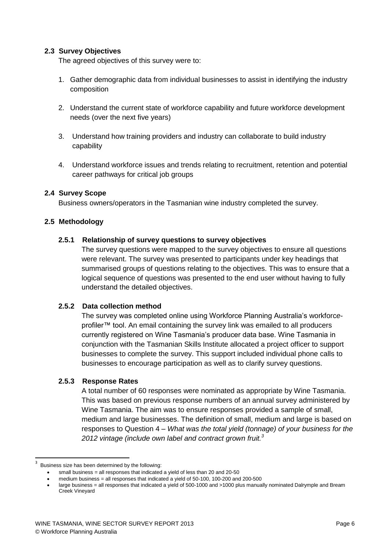#### <span id="page-5-0"></span>**2.3 Survey Objectives**

The agreed objectives of this survey were to:

- 1. Gather demographic data from individual businesses to assist in identifying the industry composition
- 2. Understand the current state of workforce capability and future workforce development needs (over the next five years)
- 3. Understand how training providers and industry can collaborate to build industry capability
- 4. Understand workforce issues and trends relating to recruitment, retention and potential career pathways for critical job groups

#### <span id="page-5-1"></span>**2.4 Survey Scope**

Business owners/operators in the Tasmanian wine industry completed the survey.

#### <span id="page-5-2"></span>**2.5 Methodology**

#### **2.5.1 Relationship of survey questions to survey objectives**

The survey questions were mapped to the survey objectives to ensure all questions were relevant. The survey was presented to participants under key headings that summarised groups of questions relating to the objectives. This was to ensure that a logical sequence of questions was presented to the end user without having to fully understand the detailed objectives.

#### **2.5.2 Data collection method**

The survey was completed online using Workforce Planning Australia's workforc*e*profiler™ tool. An email containing the survey link was emailed to all producers currently registered on Wine Tasmania's producer data base. Wine Tasmania in conjunction with the Tasmanian Skills Institute allocated a project officer to support businesses to complete the survey. This support included individual phone calls to businesses to encourage participation as well as to clarify survey questions.

#### **2.5.3 Response Rates**

A total number of 60 responses were nominated as appropriate by Wine Tasmania. This was based on previous response numbers of an annual survey administered by Wine Tasmania. The aim was to ensure responses provided a sample of small, medium and large businesses. The definition of small, medium and large is based on responses to Question 4 – *What was the total yield (tonnage) of your business for the 2012 vintage (include own label and contract grown fruit.<sup>3</sup>*

-

<sup>3</sup> Business size has been determined by the following:

small business = all responses that indicated a yield of less than 20 and 20-50

medium business = all responses that indicated a yield of 50-100, 100-200 and 200-500

large business = all responses that indicated a yield of 500-1000 and >1000 plus manually nominated Dalrymple and Bream Creek Vineyard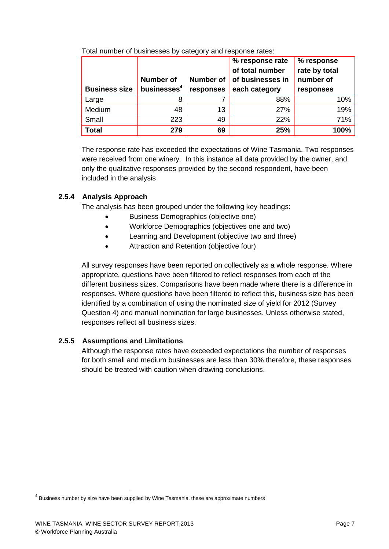| <b>Business size</b> | <b>Number of</b><br>businesses <sup>4</sup> | <b>Number of</b><br>responses | % response rate<br>of total number<br>of businesses in<br>each category | % response<br>rate by total<br>number of<br>responses |
|----------------------|---------------------------------------------|-------------------------------|-------------------------------------------------------------------------|-------------------------------------------------------|
| Large                | 8                                           |                               | 88%                                                                     | 10%                                                   |
| Medium               | 48                                          | 13                            | 27%                                                                     | 19%                                                   |
| Small                | 223                                         | 49                            | 22%                                                                     | 71%                                                   |
| <b>Total</b>         | 279                                         | 69                            | 25%                                                                     | 100%                                                  |

Total number of businesses by category and response rates:

The response rate has exceeded the expectations of Wine Tasmania. Two responses were received from one winery. In this instance all data provided by the owner, and only the qualitative responses provided by the second respondent, have been included in the analysis

#### **2.5.4 Analysis Approach**

The analysis has been grouped under the following key headings:

- Business Demographics (objective one)
- Workforce Demographics (objectives one and two)
- Learning and Development (objective two and three)
- Attraction and Retention (objective four)

All survey responses have been reported on collectively as a whole response. Where appropriate, questions have been filtered to reflect responses from each of the different business sizes. Comparisons have been made where there is a difference in responses. Where questions have been filtered to reflect this, business size has been identified by a combination of using the nominated size of yield for 2012 (Survey Question 4) and manual nomination for large businesses. Unless otherwise stated, responses reflect all business sizes.

#### **2.5.5 Assumptions and Limitations**

Although the response rates have exceeded expectations the number of responses for both small and medium businesses are less than 30% therefore, these responses should be treated with caution when drawing conclusions.

-

 $^{4}$  Business number by size have been supplied by Wine Tasmania, these are approximate numbers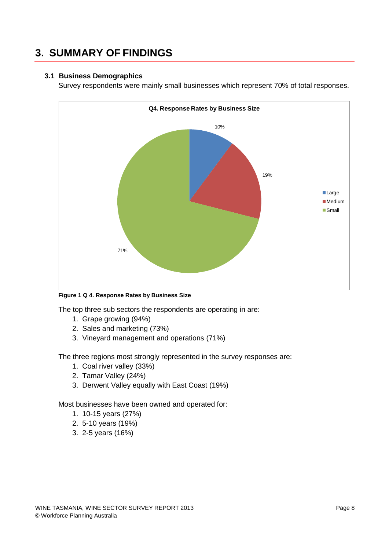# <span id="page-7-0"></span>**3. SUMMARY OF FINDINGS**

#### <span id="page-7-1"></span>**3.1 Business Demographics**

Survey respondents were mainly small businesses which represent 70% of total responses.



<span id="page-7-2"></span>**Figure 1 Q 4. Response Rates by Business Size**

The top three sub sectors the respondents are operating in are:

- 1. Grape growing (94%)
- 2. Sales and marketing (73%)
- 3. Vineyard management and operations (71%)

The three regions most strongly represented in the survey responses are:

- 1. Coal river valley (33%)
- 2. Tamar Valley (24%)
- 3. Derwent Valley equally with East Coast (19%)

Most businesses have been owned and operated for:

- 1. 10-15 years (27%)
- 2. 5-10 years (19%)
- 3. 2-5 years (16%)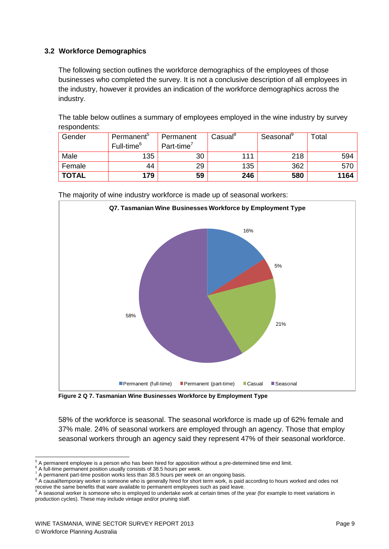#### <span id="page-8-0"></span>**3.2 Workforce Demographics**

The following section outlines the workforce demographics of the employees of those businesses who completed the survey. It is not a conclusive description of all employees in the industry, however it provides an indication of the workforce demographics across the industry.

The table below outlines a summary of employees employed in the wine industry by survey respondents:

| Gender       | Permanent <sup>3</sup> | Permanent              | Casual <sup>o</sup> | Seasonal | Total |
|--------------|------------------------|------------------------|---------------------|----------|-------|
|              | Full-time <sup>6</sup> | Part-time <sup>'</sup> |                     |          |       |
| Male         | 135                    | 30                     | 111                 | 218      | 594   |
| Female       | 44                     | 29                     | 135                 | 362      | 570   |
| <b>TOTAL</b> | 179                    | 59                     | 246                 | 580      | 1164  |



The majority of wine industry workforce is made up of seasonal workers:

<span id="page-8-1"></span>**Figure 2 Q 7. Tasmanian Wine Businesses Workforce by Employment Type**

58% of the workforce is seasonal. The seasonal workforce is made up of 62% female and 37% male. 24% of seasonal workers are employed through an agency. Those that employ seasonal workers through an agency said they represent 47% of their seasonal workforce.

<sup>-</sup> $<sup>5</sup>$  A permanent employee is a person who has been hired for apposition without a pre-determined time end limit.</sup>

<sup>&</sup>lt;sup>6</sup> A full-time permanent position usually consists of 38.5 hours per week.

<sup>&</sup>lt;sup>7</sup> A permanent part-time position works less than 38.5 hours per week on an ongoing basis.

<sup>8</sup> A causal/temporary worker is someone who is generally hired for short term work, is paid according to hours worked and odes not

receive the same benefits that ware available to permanent employees such as paid leave.<br><sup>9</sup> A seasonal worker is someone who is employed to undertake work at certain times of the year (for example to meet variations in production cycles). These may include vintage and/or pruning staff.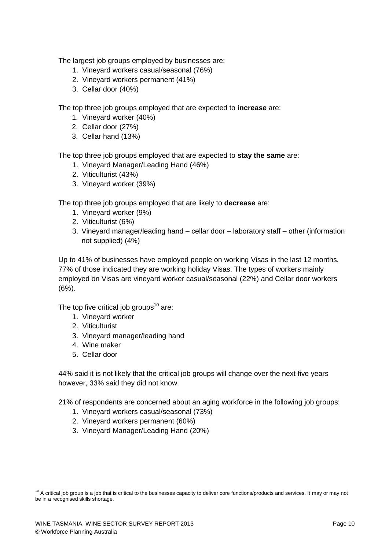The largest job groups employed by businesses are:

- 1. Vineyard workers casual/seasonal (76%)
- 2. Vineyard workers permanent (41%)
- 3. Cellar door (40%)

The top three job groups employed that are expected to **increase** are:

- 1. Vineyard worker (40%)
- 2. Cellar door (27%)
- 3. Cellar hand (13%)

The top three job groups employed that are expected to **stay the same** are:

- 1. Vineyard Manager/Leading Hand (46%)
- 2. Viticulturist (43%)
- 3. Vineyard worker (39%)

The top three job groups employed that are likely to **decrease** are:

- 1. Vineyard worker (9%)
- 2. Viticulturist (6%)
- 3. Vineyard manager/leading hand cellar door laboratory staff other (information not supplied) (4%)

Up to 41% of businesses have employed people on working Visas in the last 12 months. 77% of those indicated they are working holiday Visas. The types of workers mainly employed on Visas are vineyard worker casual/seasonal (22%) and Cellar door workers (6%).

The top five critical job groups<sup>10</sup> are:

- 1. Vineyard worker
- 2. Viticulturist
- 3. Vineyard manager/leading hand
- 4. Wine maker
- 5. Cellar door

44% said it is not likely that the critical job groups will change over the next five years however, 33% said they did not know.

21% of respondents are concerned about an aging workforce in the following job groups:

- 1. Vineyard workers casual/seasonal (73%)
- 2. Vineyard workers permanent (60%)
- 3. Vineyard Manager/Leading Hand (20%)

<sup>-</sup> $10$  A critical job group is a job that is critical to the businesses capacity to deliver core functions/products and services. It may or may not be in a recognised skills shortage.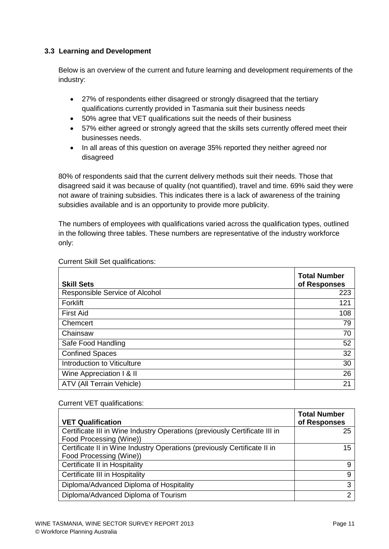#### <span id="page-10-0"></span>**3.3 Learning and Development**

Below is an overview of the current and future learning and development requirements of the industry:

- 27% of respondents either disagreed or strongly disagreed that the tertiary qualifications currently provided in Tasmania suit their business needs
- 50% agree that VET qualifications suit the needs of their business
- 57% either agreed or strongly agreed that the skills sets currently offered meet their businesses needs.
- In all areas of this question on average 35% reported they neither agreed nor disagreed

80% of respondents said that the current delivery methods suit their needs. Those that disagreed said it was because of quality (not quantified), travel and time. 69% said they were not aware of training subsidies. This indicates there is a lack of awareness of the training subsidies available and is an opportunity to provide more publicity.

The numbers of employees with qualifications varied across the qualification types, outlined in the following three tables. These numbers are representative of the industry workforce only:

| <b>Skill Sets</b>              | <b>Total Number</b><br>of Responses |
|--------------------------------|-------------------------------------|
| Responsible Service of Alcohol | 223                                 |
| Forklift                       | 121                                 |
| <b>First Aid</b>               | 108                                 |
| Chemcert                       | 79                                  |
| Chainsaw                       | 70                                  |
| Safe Food Handling             | 52                                  |
| <b>Confined Spaces</b>         | 32                                  |
| Introduction to Viticulture    | 30                                  |
| Wine Appreciation I & II       | 26                                  |
| ATV (All Terrain Vehicle)      | 21                                  |

Current Skill Set qualifications:

#### Current VET qualifications:

| <b>VET Qualification</b>                                                   | <b>Total Number</b><br>of Responses |
|----------------------------------------------------------------------------|-------------------------------------|
| Certificate III in Wine Industry Operations (previously Certificate III in | 25                                  |
| Food Processing (Wine))                                                    |                                     |
| Certificate II in Wine Industry Operations (previously Certificate II in   | 15                                  |
| Food Processing (Wine))                                                    |                                     |
| Certificate II in Hospitality                                              | 9                                   |
| Certificate III in Hospitality                                             | 9                                   |
| Diploma/Advanced Diploma of Hospitality                                    | 3                                   |
| Diploma/Advanced Diploma of Tourism                                        | າ                                   |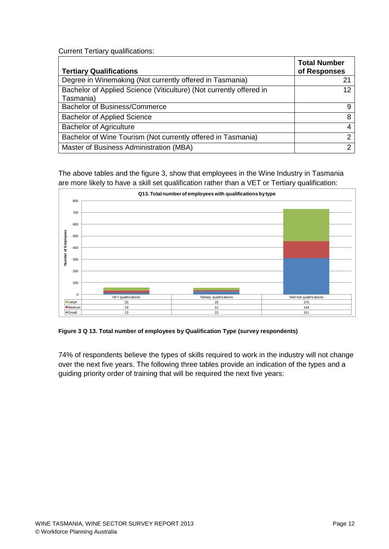Current Tertiary qualifications:

| <b>Tertiary Qualifications</b>                                      | <b>Total Number</b><br>of Responses |
|---------------------------------------------------------------------|-------------------------------------|
| Degree in Winemaking (Not currently offered in Tasmania)            | 21                                  |
| Bachelor of Applied Science (Viticulture) (Not currently offered in | 12                                  |
| Tasmania)                                                           |                                     |
| <b>Bachelor of Business/Commerce</b>                                | 9                                   |
| <b>Bachelor of Applied Science</b>                                  | 8                                   |
| <b>Bachelor of Agriculture</b>                                      |                                     |
| Bachelor of Wine Tourism (Not currently offered in Tasmania)        | ົ                                   |
| Master of Business Administration (MBA)                             | າ                                   |

The above tables and the figure 3, show that employees in the Wine Industry in Tasmania are more likely to have a skill set qualification rather than a VET or Tertiary qualification:



<span id="page-11-0"></span>**Figure 3 Q 13. Total number of employees by Qualification Type (survey respondents)**

74% of respondents believe the types of skills required to work in the industry will not change over the next five years. The following three tables provide an indication of the types and a guiding priority order of training that will be required the next five years: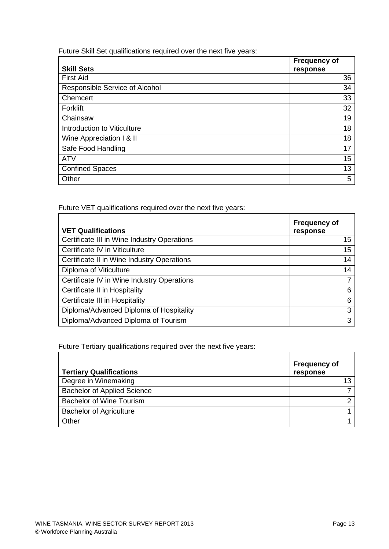Future Skill Set qualifications required over the next five years:

|                                | <b>Frequency of</b> |
|--------------------------------|---------------------|
| <b>Skill Sets</b>              | response            |
| <b>First Aid</b>               | 36                  |
| Responsible Service of Alcohol | 34                  |
| Chemcert                       | 33                  |
| Forklift                       | 32                  |
| Chainsaw                       | 19                  |
| Introduction to Viticulture    | 18                  |
| Wine Appreciation I & II       | 18                  |
| Safe Food Handling             | 17                  |
| <b>ATV</b>                     | 15                  |
| <b>Confined Spaces</b>         | 13                  |
| Other                          | 5                   |

Future VET qualifications required over the next five years:

| <b>VET Qualifications</b>                   | <b>Frequency of</b><br>response |
|---------------------------------------------|---------------------------------|
| Certificate III in Wine Industry Operations | 15                              |
| Certificate IV in Viticulture               | 15                              |
| Certificate II in Wine Industry Operations  | 14                              |
| Diploma of Viticulture                      | 14                              |
| Certificate IV in Wine Industry Operations  | 7                               |
| Certificate II in Hospitality               | 6                               |
| Certificate III in Hospitality              | 6                               |
| Diploma/Advanced Diploma of Hospitality     | 3                               |
| Diploma/Advanced Diploma of Tourism         | 3                               |

Future Tertiary qualifications required over the next five years:

| <b>Tertiary Qualifications</b>     | <b>Frequency of</b><br>response |
|------------------------------------|---------------------------------|
| Degree in Winemaking               | 13                              |
| <b>Bachelor of Applied Science</b> |                                 |
| <b>Bachelor of Wine Tourism</b>    | ⌒                               |
| <b>Bachelor of Agriculture</b>     |                                 |
| Other                              |                                 |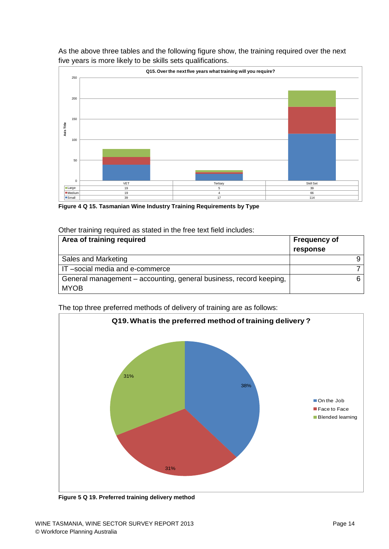

As the above three tables and the following figure show, the training required over the next five years is more likely to be skills sets qualifications.

<span id="page-13-0"></span>**Figure 4 Q 15. Tasmanian Wine Industry Training Requirements by Type**

#### Other training required as stated in the free text field includes:

| Area of training required                                                         | <b>Frequency of</b> |
|-----------------------------------------------------------------------------------|---------------------|
|                                                                                   | response            |
| Sales and Marketing                                                               |                     |
| IT-social media and e-commerce                                                    |                     |
| General management – accounting, general business, record keeping,<br><b>MYOB</b> |                     |

The top three preferred methods of delivery of training are as follows:



<span id="page-13-1"></span>**Figure 5 Q 19. Preferred training delivery method**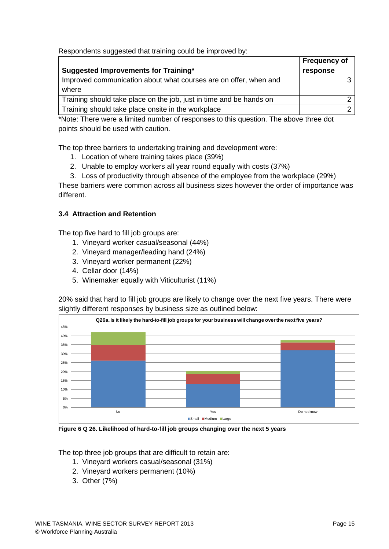Respondents suggested that training could be improved by:

|                                                                     | <b>Frequency of</b> |
|---------------------------------------------------------------------|---------------------|
| Suggested Improvements for Training*                                | response            |
| Improved communication about what courses are on offer, when and    |                     |
| where                                                               |                     |
| Training should take place on the job, just in time and be hands on |                     |
| Training should take place onsite in the workplace                  |                     |

\*Note: There were a limited number of responses to this question. The above three dot points should be used with caution.

The top three barriers to undertaking training and development were:

- 1. Location of where training takes place (39%)
- 2. Unable to employ workers all year round equally with costs (37%)
- 3. Loss of productivity through absence of the employee from the workplace (29%)

These barriers were common across all business sizes however the order of importance was different.

#### <span id="page-14-0"></span>**3.4 Attraction and Retention**

The top five hard to fill job groups are:

- 1. Vineyard worker casual/seasonal (44%)
- 2. Vineyard manager/leading hand (24%)
- 3. Vineyard worker permanent (22%)
- 4. Cellar door (14%)
- 5. Winemaker equally with Viticulturist (11%)

20% said that hard to fill job groups are likely to change over the next five years. There were slightly different responses by business size as outlined below:



<span id="page-14-1"></span>**Figure 6 Q 26. Likelihood of hard-to-fill job groups changing over the next 5 years**

The top three job groups that are difficult to retain are:

- 1. Vineyard workers casual/seasonal (31%)
- 2. Vineyard workers permanent (10%)
- 3. Other (7%)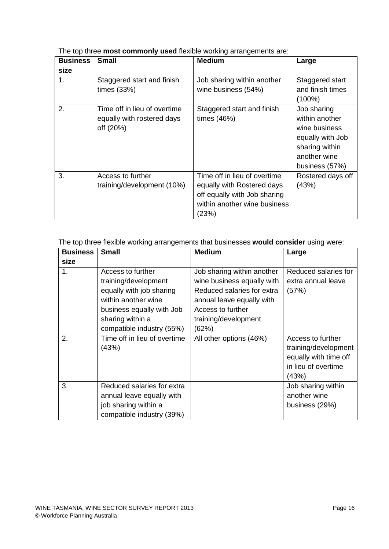The top three **most commonly used** flexible working arrangements are:

| <b>Business</b> | <b>Small</b>                                                            | <b>Medium</b>                                                                                                                       | Large                                                                                                                  |
|-----------------|-------------------------------------------------------------------------|-------------------------------------------------------------------------------------------------------------------------------------|------------------------------------------------------------------------------------------------------------------------|
| size            |                                                                         |                                                                                                                                     |                                                                                                                        |
| 1.              | Staggered start and finish<br>times $(33%)$                             | Job sharing within another<br>wine business (54%)                                                                                   | Staggered start<br>and finish times<br>$(100\%)$                                                                       |
| 2.              | Time off in lieu of overtime<br>equally with rostered days<br>off (20%) | Staggered start and finish<br>times $(46%)$                                                                                         | Job sharing<br>within another<br>wine business<br>equally with Job<br>sharing within<br>another wine<br>business (57%) |
| 3.              | Access to further<br>training/development (10%)                         | Time off in lieu of overtime<br>equally with Rostered days<br>off equally with Job sharing<br>within another wine business<br>(23%) | Rostered days off<br>(43%)                                                                                             |

The top three flexible working arrangements that businesses **would consider** using were:

| <b>Business</b> | <b>Small</b>                                                                                                                                  | <b>Medium</b>                                                                                                                                                    | Large                                                                                              |
|-----------------|-----------------------------------------------------------------------------------------------------------------------------------------------|------------------------------------------------------------------------------------------------------------------------------------------------------------------|----------------------------------------------------------------------------------------------------|
| size            |                                                                                                                                               |                                                                                                                                                                  |                                                                                                    |
| 1 <sub>1</sub>  | Access to further<br>training/development<br>equally with job sharing<br>within another wine<br>business equally with Job<br>sharing within a | Job sharing within another<br>wine business equally with<br>Reduced salaries for extra<br>annual leave equally with<br>Access to further<br>training/development | Reduced salaries for<br>extra annual leave<br>(57%)                                                |
|                 | compatible industry (55%)                                                                                                                     | (62%)                                                                                                                                                            |                                                                                                    |
| 2.              | Time off in lieu of overtime<br>(43%)                                                                                                         | All other options (46%)                                                                                                                                          | Access to further<br>training/development<br>equally with time off<br>in lieu of overtime<br>(43%) |
| 3.              | Reduced salaries for extra<br>annual leave equally with<br>job sharing within a<br>compatible industry (39%)                                  |                                                                                                                                                                  | Job sharing within<br>another wine<br>business (29%)                                               |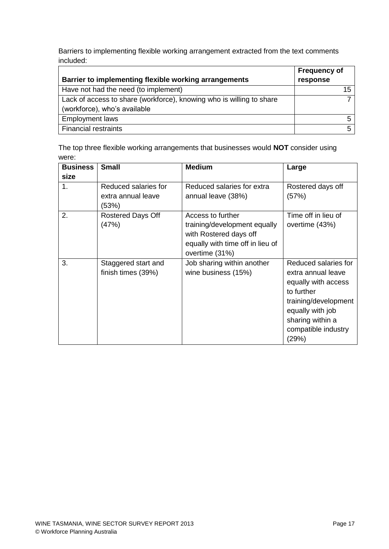Barriers to implementing flexible working arrangement extracted from the text comments included:

|                                                                      | <b>Frequency of</b> |
|----------------------------------------------------------------------|---------------------|
| Barrier to implementing flexible working arrangements                | response            |
| Have not had the need (to implement)                                 |                     |
| Lack of access to share (workforce), knowing who is willing to share |                     |
| (workforce), who's available                                         |                     |
| <b>Employment laws</b>                                               |                     |
| <b>Financial restraints</b>                                          |                     |

The top three flexible working arrangements that businesses would **NOT** consider using were:

| <b>Business</b><br>size | <b>Small</b>                                        | <b>Medium</b>                                                                                                                     | Large                                                                                                                                                                           |
|-------------------------|-----------------------------------------------------|-----------------------------------------------------------------------------------------------------------------------------------|---------------------------------------------------------------------------------------------------------------------------------------------------------------------------------|
| 1.                      | Reduced salaries for<br>extra annual leave<br>(53%) | Reduced salaries for extra<br>annual leave (38%)                                                                                  | Rostered days off<br>(57%)                                                                                                                                                      |
| 2.                      | Rostered Days Off<br>(47%)                          | Access to further<br>training/development equally<br>with Rostered days off<br>equally with time off in lieu of<br>overtime (31%) | Time off in lieu of<br>overtime (43%)                                                                                                                                           |
| 3.                      | Staggered start and<br>finish times (39%)           | Job sharing within another<br>wine business (15%)                                                                                 | Reduced salaries for<br>extra annual leave<br>equally with access<br>to further<br>training/development<br>equally with job<br>sharing within a<br>compatible industry<br>(29%) |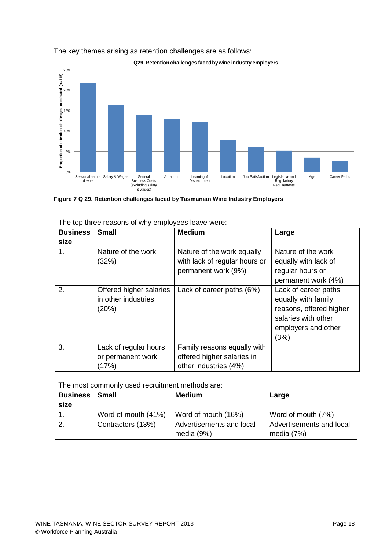

#### The key themes arising as retention challenges are as follows:

<span id="page-17-0"></span>**Figure 7 Q 29. Retention challenges faced by Tasmanian Wine Industry Employers**

| <b>Business</b> | <b>Small</b>                                            | <b>Medium</b>                                                                      | Large                                                                                                                        |
|-----------------|---------------------------------------------------------|------------------------------------------------------------------------------------|------------------------------------------------------------------------------------------------------------------------------|
| size            |                                                         |                                                                                    |                                                                                                                              |
| 1.              | Nature of the work<br>(32%)                             | Nature of the work equally<br>with lack of regular hours or<br>permanent work (9%) | Nature of the work<br>equally with lack of<br>regular hours or<br>permanent work (4%)                                        |
| 2.              | Offered higher salaries<br>in other industries<br>(20%) | Lack of career paths (6%)                                                          | Lack of career paths<br>equally with family<br>reasons, offered higher<br>salaries with other<br>employers and other<br>(3%) |
| 3.              | Lack of regular hours<br>or permanent work<br>(17%)     | Family reasons equally with<br>offered higher salaries in<br>other industries (4%) |                                                                                                                              |

The top three reasons of why employees leave were:

The most commonly used recruitment methods are:

| <b>Business</b> | Small               | <b>Medium</b>            | Large                    |
|-----------------|---------------------|--------------------------|--------------------------|
| size            |                     |                          |                          |
|                 | Word of mouth (41%) | Word of mouth (16%)      | Word of mouth (7%)       |
|                 | Contractors (13%)   | Advertisements and local | Advertisements and local |
|                 |                     | media (9%)               | media $(7%)$             |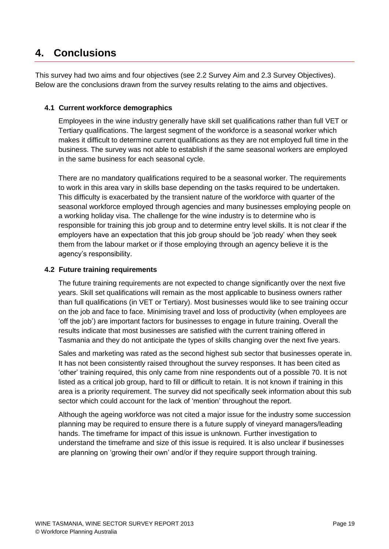### <span id="page-18-0"></span>**4. Conclusions**

This survey had two aims and four objectives (see 2.2 Survey Aim and 2.3 Survey Objectives). Below are the conclusions drawn from the survey results relating to the aims and objectives.

#### <span id="page-18-1"></span>**4.1 Current workforce demographics**

Employees in the wine industry generally have skill set qualifications rather than full VET or Tertiary qualifications. The largest segment of the workforce is a seasonal worker which makes it difficult to determine current qualifications as they are not employed full time in the business. The survey was not able to establish if the same seasonal workers are employed in the same business for each seasonal cycle.

There are no mandatory qualifications required to be a seasonal worker. The requirements to work in this area vary in skills base depending on the tasks required to be undertaken. This difficulty is exacerbated by the transient nature of the workforce with quarter of the seasonal workforce employed through agencies and many businesses employing people on a working holiday visa. The challenge for the wine industry is to determine who is responsible for training this job group and to determine entry level skills. It is not clear if the employers have an expectation that this job group should be 'job ready' when they seek them from the labour market or if those employing through an agency believe it is the agency's responsibility.

#### <span id="page-18-2"></span>**4.2 Future training requirements**

The future training requirements are not expected to change significantly over the next five years. Skill set qualifications will remain as the most applicable to business owners rather than full qualifications (in VET or Tertiary). Most businesses would like to see training occur on the job and face to face. Minimising travel and loss of productivity (when employees are 'off the job') are important factors for businesses to engage in future training. Overall the results indicate that most businesses are satisfied with the current training offered in Tasmania and they do not anticipate the types of skills changing over the next five years.

Sales and marketing was rated as the second highest sub sector that businesses operate in. It has not been consistently raised throughout the survey responses. It has been cited as 'other' training required, this only came from nine respondents out of a possible 70. It is not listed as a critical job group, hard to fill or difficult to retain. It is not known if training in this area is a priority requirement. The survey did not specifically seek information about this sub sector which could account for the lack of 'mention' throughout the report.

Although the ageing workforce was not cited a major issue for the industry some succession planning may be required to ensure there is a future supply of vineyard managers/leading hands. The timeframe for impact of this issue is unknown. Further investigation to understand the timeframe and size of this issue is required. It is also unclear if businesses are planning on 'growing their own' and/or if they require support through training.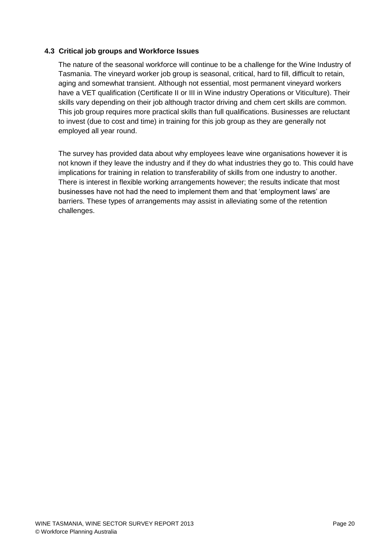#### <span id="page-19-0"></span>**4.3 Critical job groups and Workforce Issues**

The nature of the seasonal workforce will continue to be a challenge for the Wine Industry of Tasmania. The vineyard worker job group is seasonal, critical, hard to fill, difficult to retain, aging and somewhat transient. Although not essential, most permanent vineyard workers have a VET qualification (Certificate II or III in Wine industry Operations or Viticulture). Their skills vary depending on their job although tractor driving and chem cert skills are common. This job group requires more practical skills than full qualifications. Businesses are reluctant to invest (due to cost and time) in training for this job group as they are generally not employed all year round.

The survey has provided data about why employees leave wine organisations however it is not known if they leave the industry and if they do what industries they go to. This could have implications for training in relation to transferability of skills from one industry to another. There is interest in flexible working arrangements however; the results indicate that most businesses have not had the need to implement them and that 'employment laws' are barriers. These types of arrangements may assist in alleviating some of the retention challenges.